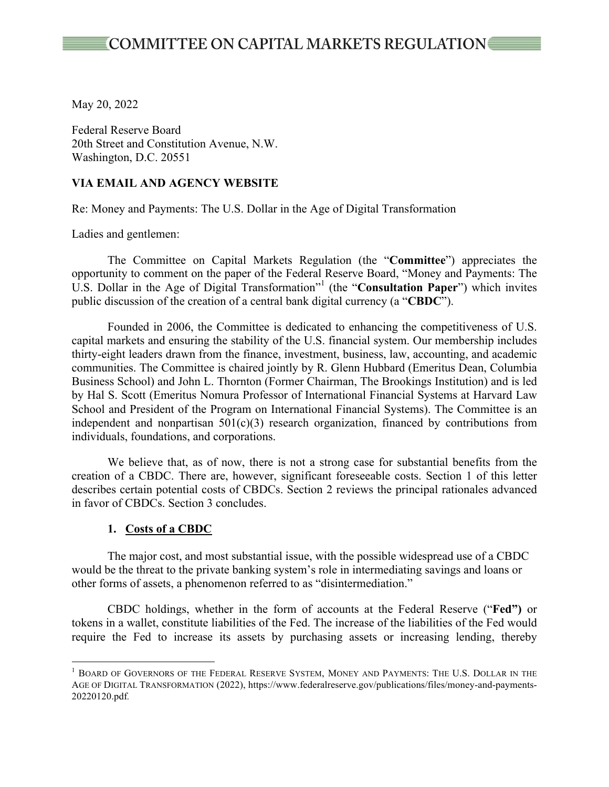May 20, 2022

Federal Reserve Board 20th Street and Constitution Avenue, N.W. Washington, D.C. 20551

#### **VIA EMAIL AND AGENCY WEBSITE**

Re: Money and Payments: The U.S. Dollar in the Age of Digital Transformation

Ladies and gentlemen:

The Committee on Capital Markets Regulation (the "**Committee**") appreciates the opportunity to comment on the paper of the Federal Reserve Board, "Money and Payments: The U.S. Dollar in the Age of Digital Transformation"<sup>1</sup> (the "**Consultation Paper**") which invites public discussion of the creation of a central bank digital currency (a "**CBDC**").

Founded in 2006, the Committee is dedicated to enhancing the competitiveness of U.S. capital markets and ensuring the stability of the U.S. financial system. Our membership includes thirty-eight leaders drawn from the finance, investment, business, law, accounting, and academic communities. The Committee is chaired jointly by R. Glenn Hubbard (Emeritus Dean, Columbia Business School) and John L. Thornton (Former Chairman, The Brookings Institution) and is led by Hal S. Scott (Emeritus Nomura Professor of International Financial Systems at Harvard Law School and President of the Program on International Financial Systems). The Committee is an independent and nonpartisan  $501(c)(3)$  research organization, financed by contributions from individuals, foundations, and corporations.

We believe that, as of now, there is not a strong case for substantial benefits from the creation of a CBDC. There are, however, significant foreseeable costs. Section 1 of this letter describes certain potential costs of CBDCs. Section 2 reviews the principal rationales advanced in favor of CBDCs. Section 3 concludes.

#### **1. Costs of a CBDC**

The major cost, and most substantial issue, with the possible widespread use of a CBDC would be the threat to the private banking system's role in intermediating savings and loans or other forms of assets, a phenomenon referred to as "disintermediation."

CBDC holdings, whether in the form of accounts at the Federal Reserve ("**Fed")** or tokens in a wallet, constitute liabilities of the Fed. The increase of the liabilities of the Fed would require the Fed to increase its assets by purchasing assets or increasing lending, thereby

<sup>&</sup>lt;sup>1</sup> BOARD OF GOVERNORS OF THE FEDERAL RESERVE SYSTEM, MONEY AND PAYMENTS: THE U.S. DOLLAR IN THE AGE OF DIGITAL TRANSFORMATION (2022), https://www.federalreserve.gov/publications/files/money-and-payments-20220120.pdf*.*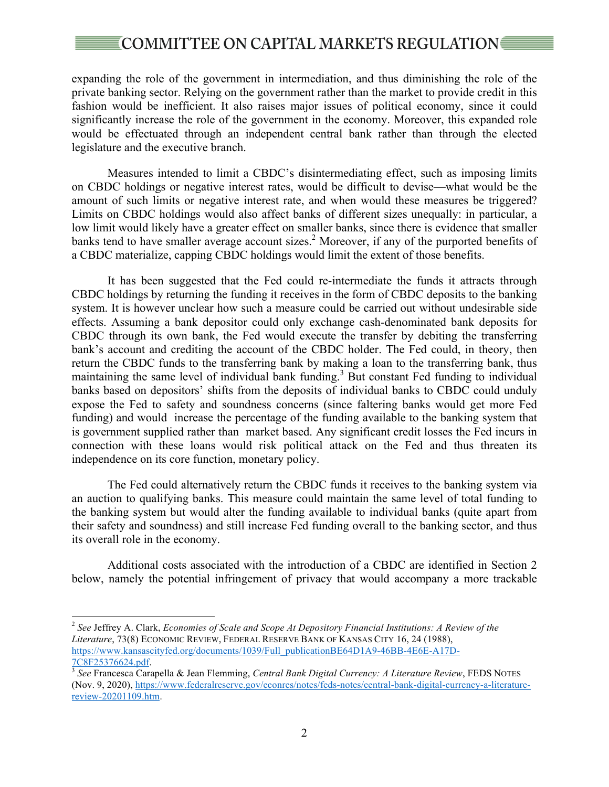## © COMMITTEE ON CAPITAL MARKETS REGULATION

expanding the role of the government in intermediation, and thus diminishing the role of the private banking sector. Relying on the government rather than the market to provide credit in this fashion would be inefficient. It also raises major issues of political economy, since it could significantly increase the role of the government in the economy. Moreover, this expanded role would be effectuated through an independent central bank rather than through the elected legislature and the executive branch.

Measures intended to limit a CBDC's disintermediating effect, such as imposing limits on CBDC holdings or negative interest rates, would be difficult to devise—what would be the amount of such limits or negative interest rate, and when would these measures be triggered? Limits on CBDC holdings would also affect banks of different sizes unequally: in particular, a low limit would likely have a greater effect on smaller banks, since there is evidence that smaller banks tend to have smaller average account sizes. <sup>2</sup> Moreover, if any of the purported benefits of a CBDC materialize, capping CBDC holdings would limit the extent of those benefits.

It has been suggested that the Fed could re-intermediate the funds it attracts through CBDC holdings by returning the funding it receives in the form of CBDC deposits to the banking system. It is however unclear how such a measure could be carried out without undesirable side effects. Assuming a bank depositor could only exchange cash-denominated bank deposits for CBDC through its own bank, the Fed would execute the transfer by debiting the transferring bank's account and crediting the account of the CBDC holder. The Fed could, in theory, then return the CBDC funds to the transferring bank by making a loan to the transferring bank, thus maintaining the same level of individual bank funding.<sup>3</sup> But constant Fed funding to individual banks based on depositors' shifts from the deposits of individual banks to CBDC could unduly expose the Fed to safety and soundness concerns (since faltering banks would get more Fed funding) and would increase the percentage of the funding available to the banking system that is government supplied rather than market based. Any significant credit losses the Fed incurs in connection with these loans would risk political attack on the Fed and thus threaten its independence on its core function, monetary policy.

The Fed could alternatively return the CBDC funds it receives to the banking system via an auction to qualifying banks. This measure could maintain the same level of total funding to the banking system but would alter the funding available to individual banks (quite apart from their safety and soundness) and still increase Fed funding overall to the banking sector, and thus its overall role in the economy.

Additional costs associated with the introduction of a CBDC are identified in Section 2 below, namely the potential infringement of privacy that would accompany a more trackable

 <sup>2</sup> *See* Jeffrey A. Clark, *Economies of Scale and Scope At Depository Financial Institutions: A Review of the Literature*, 73(8) ECONOMIC REVIEW, FEDERAL RESERVE BANK OF KANSAS CITY 16, 24 (1988), https://www.kansascityfed.org/documents/1039/Full\_publicationBE64D1A9-46BB-4E6E-A17D-7C8F25376624.pdf. 3 *See* Francesca Carapella & Jean Flemming, *Central Bank Digital Currency: A Literature Review*, FEDS NOTES

<sup>(</sup>Nov. 9, 2020), https://www.federalreserve.gov/econres/notes/feds-notes/central-bank-digital-currency-a-literaturereview-20201109.htm.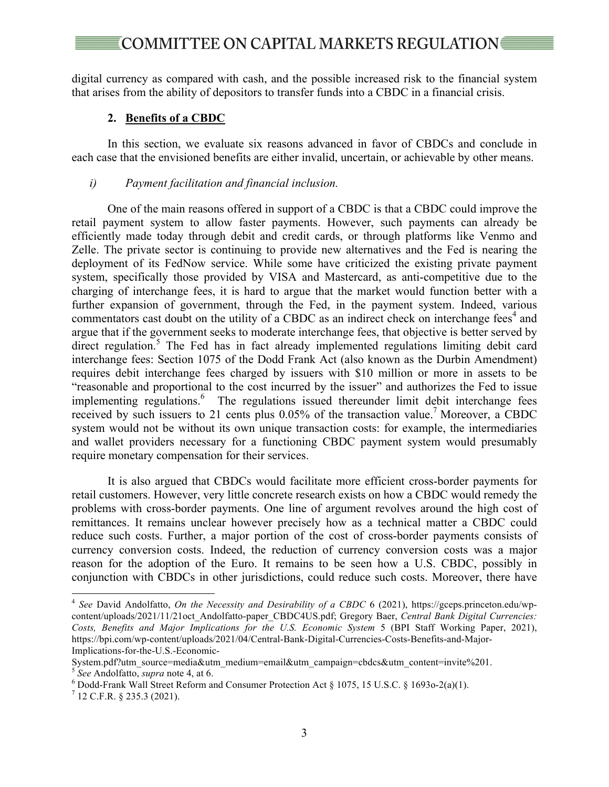# ∶COMMITTEE ON CAPITAL MARKETS REGULATION

digital currency as compared with cash, and the possible increased risk to the financial system that arises from the ability of depositors to transfer funds into a CBDC in a financial crisis.

#### **2. Benefits of a CBDC**

In this section, we evaluate six reasons advanced in favor of CBDCs and conclude in each case that the envisioned benefits are either invalid, uncertain, or achievable by other means.

#### *i) Payment facilitation and financial inclusion.*

One of the main reasons offered in support of a CBDC is that a CBDC could improve the retail payment system to allow faster payments. However, such payments can already be efficiently made today through debit and credit cards, or through platforms like Venmo and Zelle. The private sector is continuing to provide new alternatives and the Fed is nearing the deployment of its FedNow service. While some have criticized the existing private payment system, specifically those provided by VISA and Mastercard, as anti-competitive due to the charging of interchange fees, it is hard to argue that the market would function better with a further expansion of government, through the Fed, in the payment system. Indeed, various commentators cast doubt on the utility of a CBDC as an indirect check on interchange fees<sup>4</sup> and argue that if the government seeks to moderate interchange fees, that objective is better served by direct regulation.<sup>5</sup> The Fed has in fact already implemented regulations limiting debit card interchange fees: Section 1075 of the Dodd Frank Act (also known as the Durbin Amendment) requires debit interchange fees charged by issuers with \$10 million or more in assets to be "reasonable and proportional to the cost incurred by the issuer" and authorizes the Fed to issue implementing regulations. <sup>6</sup> The regulations issued thereunder limit debit interchange fees received by such issuers to 21 cents plus  $0.05\%$  of the transaction value.<sup>7</sup> Moreover, a CBDC system would not be without its own unique transaction costs: for example, the intermediaries and wallet providers necessary for a functioning CBDC payment system would presumably require monetary compensation for their services.

It is also argued that CBDCs would facilitate more efficient cross-border payments for retail customers. However, very little concrete research exists on how a CBDC would remedy the problems with cross-border payments. One line of argument revolves around the high cost of remittances. It remains unclear however precisely how as a technical matter a CBDC could reduce such costs. Further, a major portion of the cost of cross-border payments consists of currency conversion costs. Indeed, the reduction of currency conversion costs was a major reason for the adoption of the Euro. It remains to be seen how a U.S. CBDC, possibly in conjunction with CBDCs in other jurisdictions, could reduce such costs. Moreover, there have

 <sup>4</sup> *See* David Andolfatto, *On the Necessity and Desirability of a CBDC* 6 (2021), https://gceps.princeton.edu/wpcontent/uploads/2021/11/21oct\_Andolfatto-paper\_CBDC4US.pdf; Gregory Baer, *Central Bank Digital Currencies: Costs, Benefits and Major Implications for the U.S. Economic System* 5 (BPI Staff Working Paper, 2021), https://bpi.com/wp-content/uploads/2021/04/Central-Bank-Digital-Currencies-Costs-Benefits-and-Major-Implications-for-the-U.S.-Economic-

System.pdf?utm\_source=media&utm\_medium=email&utm\_campaign=cbdcs&utm\_content=invite%201. <sup>5</sup> *See* Andolfatto, *supra* note 4, at 6. <sup>6</sup>

 $\frac{6}{12}$  Dodd-Frank Wall Street Reform and Consumer Protection Act § 1075, 15 U.S.C. § 1693o-2(a)(1).  $\frac{7}{12}$  C.F.R. § 235.3 (2021).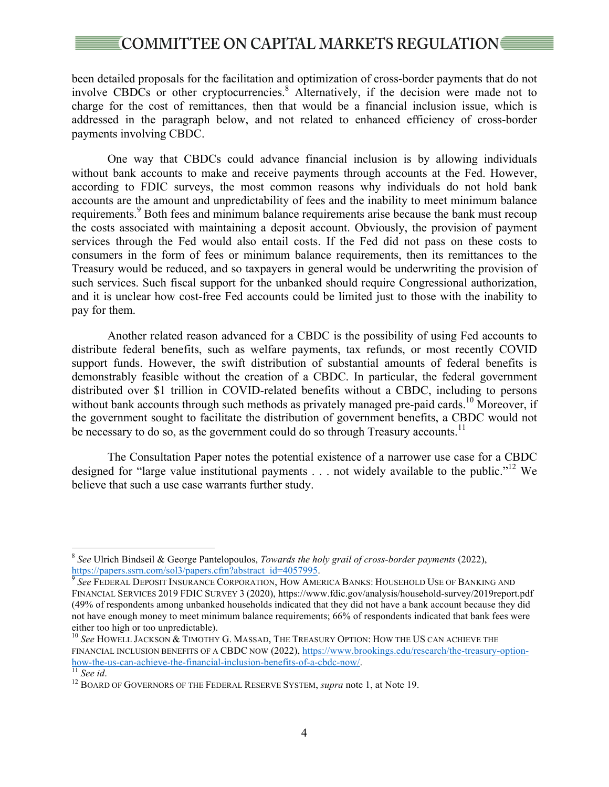# **[COMMITTEE ON CAPITAL MARKETS REGULATION]**

been detailed proposals for the facilitation and optimization of cross-border payments that do not involve CBDCs or other cryptocurrencies.<sup>8</sup> Alternatively, if the decision were made not to charge for the cost of remittances, then that would be a financial inclusion issue, which is addressed in the paragraph below, and not related to enhanced efficiency of cross-border payments involving CBDC.

One way that CBDCs could advance financial inclusion is by allowing individuals without bank accounts to make and receive payments through accounts at the Fed. However, according to FDIC surveys, the most common reasons why individuals do not hold bank accounts are the amount and unpredictability of fees and the inability to meet minimum balance requirements.<sup>9</sup> Both fees and minimum balance requirements arise because the bank must recoup the costs associated with maintaining a deposit account. Obviously, the provision of payment services through the Fed would also entail costs. If the Fed did not pass on these costs to consumers in the form of fees or minimum balance requirements, then its remittances to the Treasury would be reduced, and so taxpayers in general would be underwriting the provision of such services. Such fiscal support for the unbanked should require Congressional authorization, and it is unclear how cost-free Fed accounts could be limited just to those with the inability to pay for them.

Another related reason advanced for a CBDC is the possibility of using Fed accounts to distribute federal benefits, such as welfare payments, tax refunds, or most recently COVID support funds. However, the swift distribution of substantial amounts of federal benefits is demonstrably feasible without the creation of a CBDC. In particular, the federal government distributed over \$1 trillion in COVID-related benefits without a CBDC, including to persons without bank accounts through such methods as privately managed pre-paid cards.<sup>10</sup> Moreover, if the government sought to facilitate the distribution of government benefits, a CBDC would not be necessary to do so, as the government could do so through Treasury accounts.<sup>11</sup>

The Consultation Paper notes the potential existence of a narrower use case for a CBDC designed for "large value institutional payments . . . not widely available to the public."<sup>12</sup> We believe that such a use case warrants further study.

 <sup>8</sup> *See* Ulrich Bindseil & George Pantelopoulos, *Towards the holy grail of cross-border payments* (2022), https://papers.ssrn.com/sol3/papers.cfm?abstract\_id=4057995. <sup>9</sup> See FEDERAL DEPOSIT INSURANCE CORPORATION, HOW AMERICA BANKS: HOUSEHOLD USE OF BANKING AND

FINANCIAL SERVICES 2019 FDIC SURVEY 3 (2020), https://www.fdic.gov/analysis/household-survey/2019report.pdf (49% of respondents among unbanked households indicated that they did not have a bank account because they did not have enough money to meet minimum balance requirements; 66% of respondents indicated that bank fees were either too high or too unpredictable).

<sup>10</sup> *See* HOWELL JACKSON & TIMOTHY G. MASSAD, THE TREASURY OPTION: HOW THE US CAN ACHIEVE THE FINANCIAL INCLUSION BENEFITS OF A CBDC NOW (2022), https://www.brookings.edu/research/the-treasury-optionhow-the-us-can-achieve-the-financial-inclusion-benefits-of-a-cbdc-now/.<br><sup>11</sup> *See id.* 12 BOARD OF GOVERNORS OF THE FEDERAL RESERVE SYSTEM, *supra* note 1, at Note 19.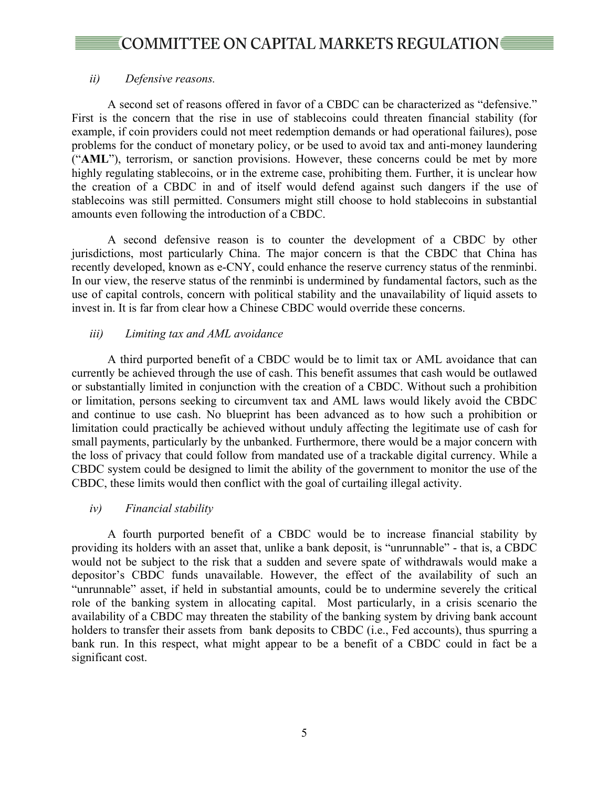## *ii) Defensive reasons.*

A second set of reasons offered in favor of a CBDC can be characterized as "defensive." First is the concern that the rise in use of stablecoins could threaten financial stability (for example, if coin providers could not meet redemption demands or had operational failures), pose problems for the conduct of monetary policy, or be used to avoid tax and anti-money laundering ("**AML**"), terrorism, or sanction provisions. However, these concerns could be met by more highly regulating stablecoins, or in the extreme case, prohibiting them. Further, it is unclear how the creation of a CBDC in and of itself would defend against such dangers if the use of stablecoins was still permitted. Consumers might still choose to hold stablecoins in substantial amounts even following the introduction of a CBDC.

A second defensive reason is to counter the development of a CBDC by other jurisdictions, most particularly China. The major concern is that the CBDC that China has recently developed, known as e-CNY, could enhance the reserve currency status of the renminbi. In our view, the reserve status of the renminbi is undermined by fundamental factors, such as the use of capital controls, concern with political stability and the unavailability of liquid assets to invest in. It is far from clear how a Chinese CBDC would override these concerns.

## *iii) Limiting tax and AML avoidance*

A third purported benefit of a CBDC would be to limit tax or AML avoidance that can currently be achieved through the use of cash. This benefit assumes that cash would be outlawed or substantially limited in conjunction with the creation of a CBDC. Without such a prohibition or limitation, persons seeking to circumvent tax and AML laws would likely avoid the CBDC and continue to use cash. No blueprint has been advanced as to how such a prohibition or limitation could practically be achieved without unduly affecting the legitimate use of cash for small payments, particularly by the unbanked. Furthermore, there would be a major concern with the loss of privacy that could follow from mandated use of a trackable digital currency. While a CBDC system could be designed to limit the ability of the government to monitor the use of the CBDC, these limits would then conflict with the goal of curtailing illegal activity.

### *iv) Financial stability*

A fourth purported benefit of a CBDC would be to increase financial stability by providing its holders with an asset that, unlike a bank deposit, is "unrunnable" - that is, a CBDC would not be subject to the risk that a sudden and severe spate of withdrawals would make a depositor's CBDC funds unavailable. However, the effect of the availability of such an "unrunnable" asset, if held in substantial amounts, could be to undermine severely the critical role of the banking system in allocating capital. Most particularly, in a crisis scenario the availability of a CBDC may threaten the stability of the banking system by driving bank account holders to transfer their assets from bank deposits to CBDC (i.e., Fed accounts), thus spurring a bank run. In this respect, what might appear to be a benefit of a CBDC could in fact be a significant cost.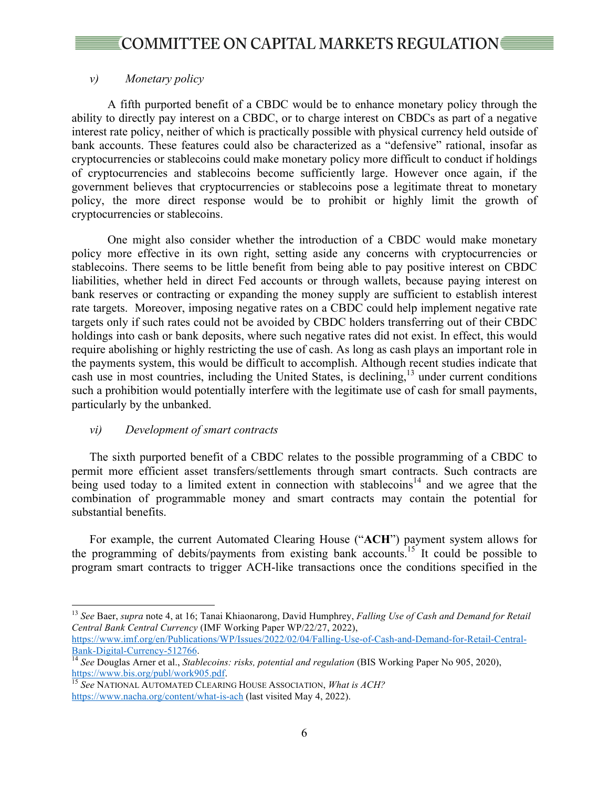## *v) Monetary policy*

A fifth purported benefit of a CBDC would be to enhance monetary policy through the ability to directly pay interest on a CBDC, or to charge interest on CBDCs as part of a negative interest rate policy, neither of which is practically possible with physical currency held outside of bank accounts. These features could also be characterized as a "defensive" rational, insofar as cryptocurrencies or stablecoins could make monetary policy more difficult to conduct if holdings of cryptocurrencies and stablecoins become sufficiently large. However once again, if the government believes that cryptocurrencies or stablecoins pose a legitimate threat to monetary policy, the more direct response would be to prohibit or highly limit the growth of cryptocurrencies or stablecoins.

One might also consider whether the introduction of a CBDC would make monetary policy more effective in its own right, setting aside any concerns with cryptocurrencies or stablecoins. There seems to be little benefit from being able to pay positive interest on CBDC liabilities, whether held in direct Fed accounts or through wallets, because paying interest on bank reserves or contracting or expanding the money supply are sufficient to establish interest rate targets. Moreover, imposing negative rates on a CBDC could help implement negative rate targets only if such rates could not be avoided by CBDC holders transferring out of their CBDC holdings into cash or bank deposits, where such negative rates did not exist. In effect, this would require abolishing or highly restricting the use of cash. As long as cash plays an important role in the payments system, this would be difficult to accomplish. Although recent studies indicate that cash use in most countries, including the United States, is declining, <sup>13</sup> under current conditions such a prohibition would potentially interfere with the legitimate use of cash for small payments, particularly by the unbanked.

### *vi) Development of smart contracts*

The sixth purported benefit of a CBDC relates to the possible programming of a CBDC to permit more efficient asset transfers/settlements through smart contracts. Such contracts are being used today to a limited extent in connection with stablecoins<sup>14</sup> and we agree that the combination of programmable money and smart contracts may contain the potential for substantial benefits.

For example, the current Automated Clearing House ("**ACH**") payment system allows for the programming of debits/payments from existing bank accounts.15 It could be possible to program smart contracts to trigger ACH-like transactions once the conditions specified in the

 <sup>13</sup> *See* Baer, *supra* note 4, at 16; Tanai Khiaonarong, David Humphrey, *Falling Use of Cash and Demand for Retail Central Bank Central Currency* (IMF Working Paper WP/22/27, 2022),

https://www.imf.org/en/Publications/WP/Issues/2022/02/04/Falling-Use-of-Cash-and-Demand-for-Retail-Central-

<sup>&</sup>lt;sup>14</sup> *See* Douglas Arner et al., *Stablecoins: risks, potential and regulation* (BIS Working Paper No 905, 2020), https://www.bis.org/publ/work905.pdf.

<sup>15</sup> See NATIONAL AUTOMATED CLEARING HOUSE ASSOCIATION, *What is ACH?* https://www.nacha.org/content/what-is-ach (last visited May 4, 2022).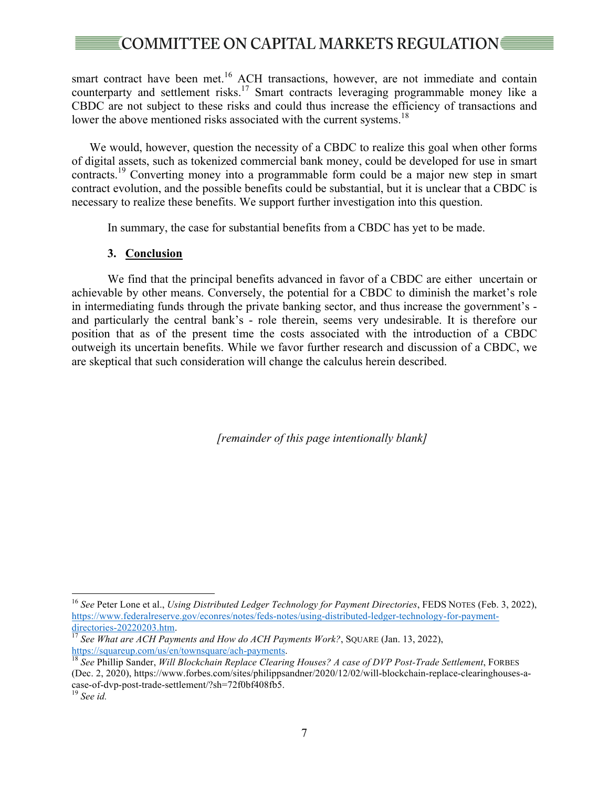# **COMMITTEE ON CAPITAL MARKETS REGULATION** ₹

smart contract have been met.<sup>16</sup> ACH transactions, however, are not immediate and contain counterparty and settlement risks.<sup>17</sup> Smart contracts leveraging programmable money like a CBDC are not subject to these risks and could thus increase the efficiency of transactions and lower the above mentioned risks associated with the current systems.<sup>18</sup>

We would, however, question the necessity of a CBDC to realize this goal when other forms of digital assets, such as tokenized commercial bank money, could be developed for use in smart contracts.<sup>19</sup> Converting money into a programmable form could be a major new step in smart contract evolution, and the possible benefits could be substantial, but it is unclear that a CBDC is necessary to realize these benefits. We support further investigation into this question.

In summary, the case for substantial benefits from a CBDC has yet to be made.

## **3. Conclusion**

We find that the principal benefits advanced in favor of a CBDC are either uncertain or achievable by other means. Conversely, the potential for a CBDC to diminish the market's role in intermediating funds through the private banking sector, and thus increase the government's and particularly the central bank's - role therein, seems very undesirable. It is therefore our position that as of the present time the costs associated with the introduction of a CBDC outweigh its uncertain benefits. While we favor further research and discussion of a CBDC, we are skeptical that such consideration will change the calculus herein described.

*[remainder of this page intentionally blank]*

 <sup>16</sup> *See* Peter Lone et al., *Using Distributed Ledger Technology for Payment Directories*, FEDS NOTES (Feb. 3, 2022), https://www.federalreserve.gov/econres/notes/feds-notes/using-distributed-ledger-technology-for-payment-

directories-20220203.htm.<br><sup>17</sup> *See What are ACH Payments and How do ACH Payments Work?*, SQUARE (Jan. 13, 2022), https://squareup.com/us/en/townsquare/ach-payments.

<sup>&</sup>lt;sup>18</sup> See Phillip Sander, *Will Blockchain Replace Clearing Houses? A case of DVP Post-Trade Settlement*, FORBES (Dec. 2, 2020), https://www.forbes.com/sites/philippsandner/2020/12/02/will-blockchain-replace-clearinghouses-acase-of-dvp-post-trade-settlement/?sh=72f0bf408fb5. <sup>19</sup> *See id.*